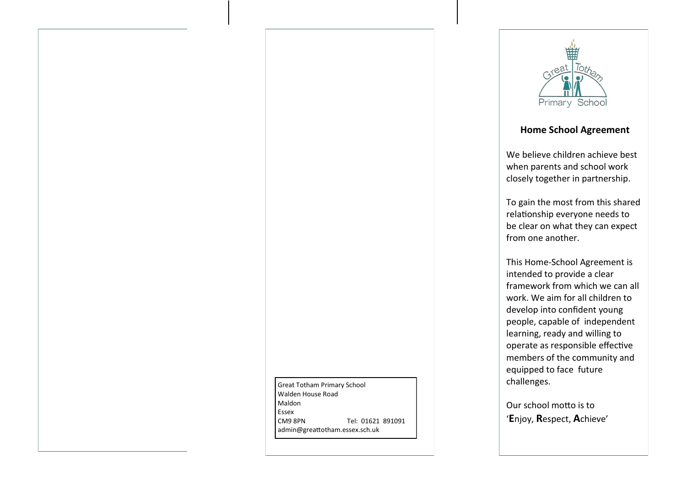



## **Home School Agreement**

We believe children achieve best when parents and school work closely together in partnership.

To gain the most from this shared relationship everyone needs to be clear on what they can expect from one another.

This Home-School Agreement is intended to provide a clear framework from which we can all work. We aim for all children to develop into confident young people, capable of independent learning, ready and willing to operate as responsible effective members of the community and equipped to face future challenges.

Our school motto is to '**E**njoy, **R**espect, **A**chieve'